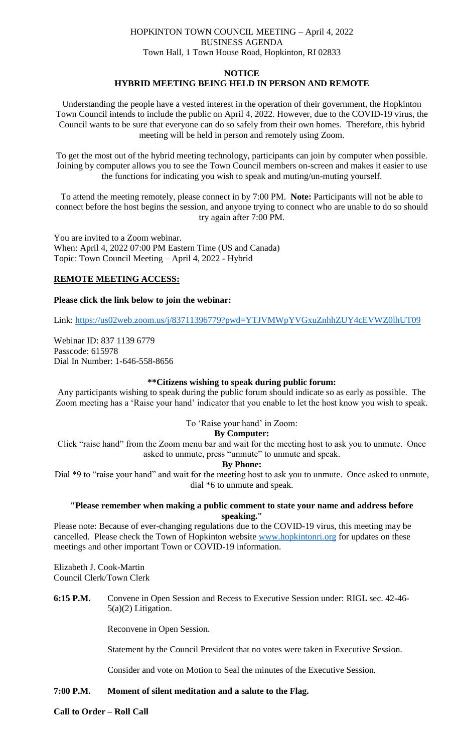## HOPKINTON TOWN COUNCIL MEETING – April 4, 2022 BUSINESS AGENDA Town Hall, 1 Town House Road, Hopkinton, RI 02833

#### **NOTICE**

## **HYBRID MEETING BEING HELD IN PERSON AND REMOTE**

Understanding the people have a vested interest in the operation of their government, the Hopkinton Town Council intends to include the public on April 4, 2022. However, due to the COVID-19 virus, the Council wants to be sure that everyone can do so safely from their own homes. Therefore, this hybrid meeting will be held in person and remotely using Zoom.

To get the most out of the hybrid meeting technology, participants can join by computer when possible. Joining by computer allows you to see the Town Council members on-screen and makes it easier to use the functions for indicating you wish to speak and muting/un-muting yourself.

To attend the meeting remotely, please connect in by 7:00 PM. **Note:** Participants will not be able to connect before the host begins the session, and anyone trying to connect who are unable to do so should try again after 7:00 PM.

You are invited to a Zoom webinar. When: April 4, 2022 07:00 PM Eastern Time (US and Canada) Topic: Town Council Meeting – April 4, 2022 - Hybrid

## **REMOTE MEETING ACCESS:**

#### **Please click the link below to join the webinar:**

Link:<https://us02web.zoom.us/j/83711396779?pwd=YTJVMWpYVGxuZnhhZUY4cEVWZ0lhUT09>

Webinar ID: 837 1139 6779 Passcode: 615978 Dial In Number: 1-646-558-8656

## **\*\*Citizens wishing to speak during public forum:**

Any participants wishing to speak during the public forum should indicate so as early as possible. The Zoom meeting has a 'Raise your hand' indicator that you enable to let the host know you wish to speak.

## To 'Raise your hand' in Zoom:

**By Computer:**

Click "raise hand" from the Zoom menu bar and wait for the meeting host to ask you to unmute. Once asked to unmute, press "unmute" to unmute and speak.

#### **By Phone:**

Dial \*9 to "raise your hand" and wait for the meeting host to ask you to unmute. Once asked to unmute, dial \*6 to unmute and speak.

## **"Please remember when making a public comment to state your name and address before speaking."**

Please note: Because of ever-changing regulations due to the COVID-19 virus, this meeting may be cancelled. Please check the Town of Hopkinton website [www.hopkintonri.org](http://www.hopkintonri.org/) for updates on these meetings and other important Town or COVID-19 information.

Elizabeth J. Cook-Martin Council Clerk/Town Clerk

**6:15 P.M.** Convene in Open Session and Recess to Executive Session under: RIGL sec. 42-46- 5(a)(2) Litigation.

Reconvene in Open Session.

Statement by the Council President that no votes were taken in Executive Session.

Consider and vote on Motion to Seal the minutes of the Executive Session.

## **7:00 P.M. Moment of silent meditation and a salute to the Flag.**

**Call to Order – Roll Call**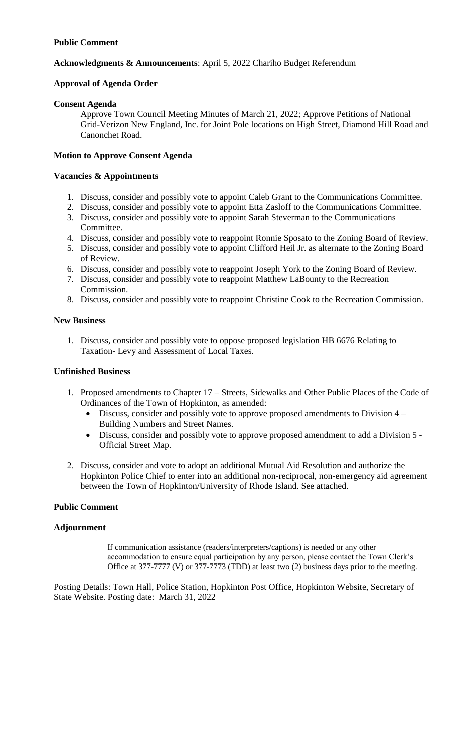## **Public Comment**

## **Acknowledgments & Announcements**: April 5, 2022 Chariho Budget Referendum

## **Approval of Agenda Order**

## **Consent Agenda**

Approve Town Council Meeting Minutes of March 21, 2022; Approve Petitions of National Grid-Verizon New England, Inc. for Joint Pole locations on High Street, Diamond Hill Road and Canonchet Road.

## **Motion to Approve Consent Agenda**

## **Vacancies & Appointments**

- 1. Discuss, consider and possibly vote to appoint Caleb Grant to the Communications Committee.
- 2. Discuss, consider and possibly vote to appoint Etta Zasloff to the Communications Committee.
- 3. Discuss, consider and possibly vote to appoint Sarah Steverman to the Communications Committee.
- 4. Discuss, consider and possibly vote to reappoint Ronnie Sposato to the Zoning Board of Review.
- 5. Discuss, consider and possibly vote to appoint Clifford Heil Jr. as alternate to the Zoning Board of Review.
- 6. Discuss, consider and possibly vote to reappoint Joseph York to the Zoning Board of Review.
- 7. Discuss, consider and possibly vote to reappoint Matthew LaBounty to the Recreation Commission.
- 8. Discuss, consider and possibly vote to reappoint Christine Cook to the Recreation Commission.

## **New Business**

1. Discuss, consider and possibly vote to oppose proposed legislation HB 6676 Relating to Taxation- Levy and Assessment of Local Taxes.

## **Unfinished Business**

- 1. Proposed amendments to Chapter 17 Streets, Sidewalks and Other Public Places of the Code of Ordinances of the Town of Hopkinton, as amended:
	- Discuss, consider and possibly vote to approve proposed amendments to Division 4 Building Numbers and Street Names.
	- Discuss, consider and possibly vote to approve proposed amendment to add a Division 5 Official Street Map.
- 2. Discuss, consider and vote to adopt an additional Mutual Aid Resolution and authorize the Hopkinton Police Chief to enter into an additional non-reciprocal, non-emergency aid agreement between the Town of Hopkinton/University of Rhode Island. See attached.

## **Public Comment**

## **Adjournment**

If communication assistance (readers/interpreters/captions) is needed or any other accommodation to ensure equal participation by any person, please contact the Town Clerk's Office at 377-7777 (V) or 377-7773 (TDD) at least two (2) business days prior to the meeting.

Posting Details: Town Hall, Police Station, Hopkinton Post Office, Hopkinton Website, Secretary of State Website. Posting date: March 31, 2022